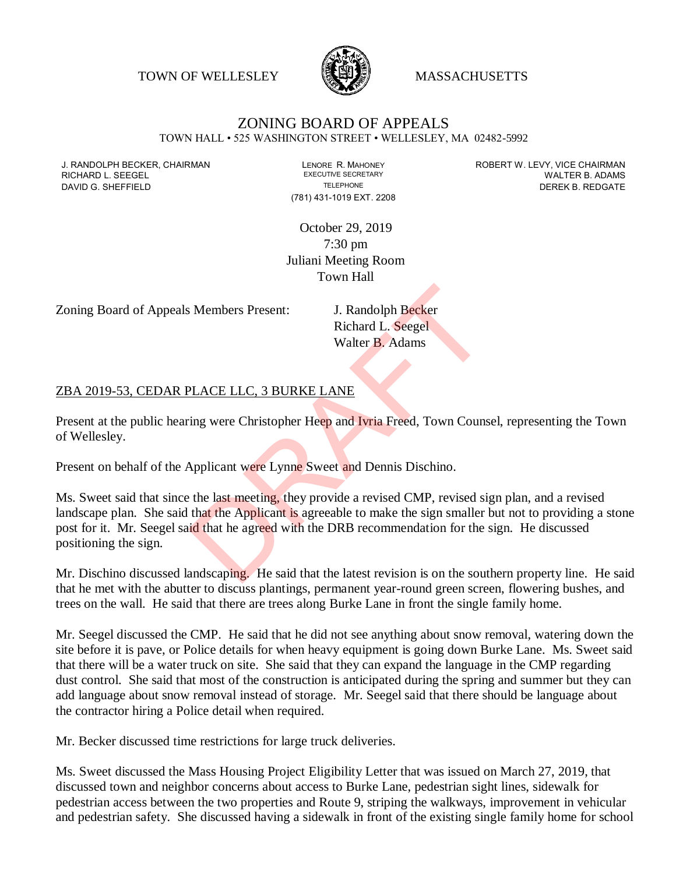TOWN OF WELLESLEY **WELLESLEY** MASSACHUSETTS



## ZONING BOARD OF APPEALS TOWN HALL • 525 WASHINGTON STREET • WELLESLEY, MA 02482-5992

RICHARD L. SEEGEL

(781) 431-1019 EXT. 2208

J. RANDOLPH BECKER, CHAIRMAN LENORE R. MAHONEY LENORE R. MAHONEY ROBERT W. LEVY, VICE CHAIRMAN CHAIRMAN LEVY, UNITER B. ADAMS DAVID G. SHEFFIELD **TELEPHONE** TELEPHONE TELEPHONE **TELEPHONE DEREK B. REDGATE** 

> October 29, 2019 7:30 pm Juliani Meeting Room Town Hall

Zoning Board of Appeals Members Present: J. Randolph Becker

Richard L. Seegel Walter B. Adams

## ZBA 2019-53, CEDAR PLACE LLC, 3 BURKE LANE

Present at the public hearing were Christopher Heep and Ivria Freed, Town Counsel, representing the Town of Wellesley.

Present on behalf of the Applicant were Lynne Sweet and Dennis Dischino.

Ms. Sweet said that since the last meeting, they provide a revised CMP, revised sign plan, and a revised landscape plan. She said that the Applicant is agreeable to make the sign smaller but not to providing a stone post for it. Mr. Seegel said that he agreed with the DRB recommendation for the sign. He discussed positioning the sign. J. Randolph Becker<br>
Richard L. Seegel<br>
Walter B. Adams<br>
PLACE LLC, 3 BURKE LANE<br>
Figure Christopher Heep and Ivria Freed, Town Couns<br>
Applicant were Lynne Sweet and Dennis Dischino.<br>
the last meeting, they provide a revise

Mr. Dischino discussed landscaping. He said that the latest revision is on the southern property line. He said that he met with the abutter to discuss plantings, permanent year-round green screen, flowering bushes, and trees on the wall. He said that there are trees along Burke Lane in front the single family home.

Mr. Seegel discussed the CMP. He said that he did not see anything about snow removal, watering down the site before it is pave, or Police details for when heavy equipment is going down Burke Lane. Ms. Sweet said that there will be a water truck on site. She said that they can expand the language in the CMP regarding dust control. She said that most of the construction is anticipated during the spring and summer but they can add language about snow removal instead of storage. Mr. Seegel said that there should be language about the contractor hiring a Police detail when required.

Mr. Becker discussed time restrictions for large truck deliveries.

Ms. Sweet discussed the Mass Housing Project Eligibility Letter that was issued on March 27, 2019, that discussed town and neighbor concerns about access to Burke Lane, pedestrian sight lines, sidewalk for pedestrian access between the two properties and Route 9, striping the walkways, improvement in vehicular and pedestrian safety. She discussed having a sidewalk in front of the existing single family home for school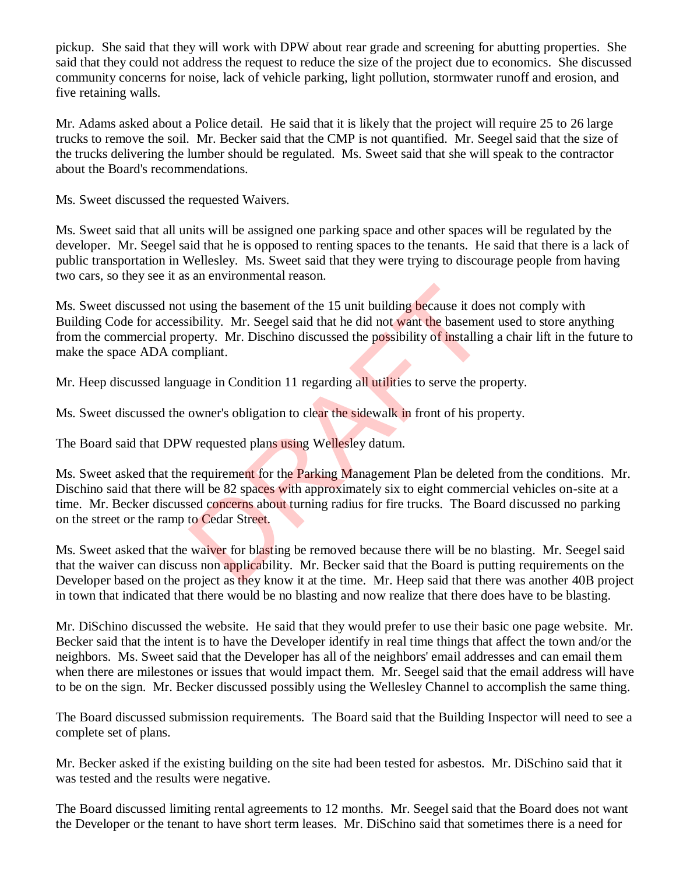pickup. She said that they will work with DPW about rear grade and screening for abutting properties. She said that they could not address the request to reduce the size of the project due to economics. She discussed community concerns for noise, lack of vehicle parking, light pollution, stormwater runoff and erosion, and five retaining walls.

Mr. Adams asked about a Police detail. He said that it is likely that the project will require 25 to 26 large trucks to remove the soil. Mr. Becker said that the CMP is not quantified. Mr. Seegel said that the size of the trucks delivering the lumber should be regulated. Ms. Sweet said that she will speak to the contractor about the Board's recommendations.

Ms. Sweet discussed the requested Waivers.

Ms. Sweet said that all units will be assigned one parking space and other spaces will be regulated by the developer. Mr. Seegel said that he is opposed to renting spaces to the tenants. He said that there is a lack of public transportation in Wellesley. Ms. Sweet said that they were trying to discourage people from having two cars, so they see it as an environmental reason.

Ms. Sweet discussed not using the basement of the 15 unit building because it does not comply with Building Code for accessibility. Mr. Seegel said that he did not want the basement used to store anything from the commercial property. Mr. Dischino discussed the possibility of installing a chair lift in the future to make the space ADA compliant. using the basement of the 15 unit building because it doe<br>ibility. Mr. Seegel said that he did not want the basemen<br>perty. Mr. Dischino discussed the possibility of installing<br>mpliant.<br>lange in Condition 11 regarding all u

Mr. Heep discussed language in Condition 11 regarding all utilities to serve the property.

Ms. Sweet discussed the owner's obligation to clear the sidewalk in front of his property.

The Board said that DPW requested plans using Wellesley datum.

Ms. Sweet asked that the requirement for the Parking Management Plan be deleted from the conditions. Mr. Dischino said that there will be 82 spaces with approximately six to eight commercial vehicles on-site at a time. Mr. Becker discussed concerns about turning radius for fire trucks. The Board discussed no parking on the street or the ramp to Cedar Street.

Ms. Sweet asked that the waiver for blasting be removed because there will be no blasting. Mr. Seegel said that the waiver can discuss non applicability. Mr. Becker said that the Board is putting requirements on the Developer based on the project as they know it at the time. Mr. Heep said that there was another 40B project in town that indicated that there would be no blasting and now realize that there does have to be blasting.

Mr. DiSchino discussed the website. He said that they would prefer to use their basic one page website. Mr. Becker said that the intent is to have the Developer identify in real time things that affect the town and/or the neighbors. Ms. Sweet said that the Developer has all of the neighbors' email addresses and can email them when there are milestones or issues that would impact them. Mr. Seegel said that the email address will have to be on the sign. Mr. Becker discussed possibly using the Wellesley Channel to accomplish the same thing.

The Board discussed submission requirements. The Board said that the Building Inspector will need to see a complete set of plans.

Mr. Becker asked if the existing building on the site had been tested for asbestos. Mr. DiSchino said that it was tested and the results were negative.

The Board discussed limiting rental agreements to 12 months. Mr. Seegel said that the Board does not want the Developer or the tenant to have short term leases. Mr. DiSchino said that sometimes there is a need for